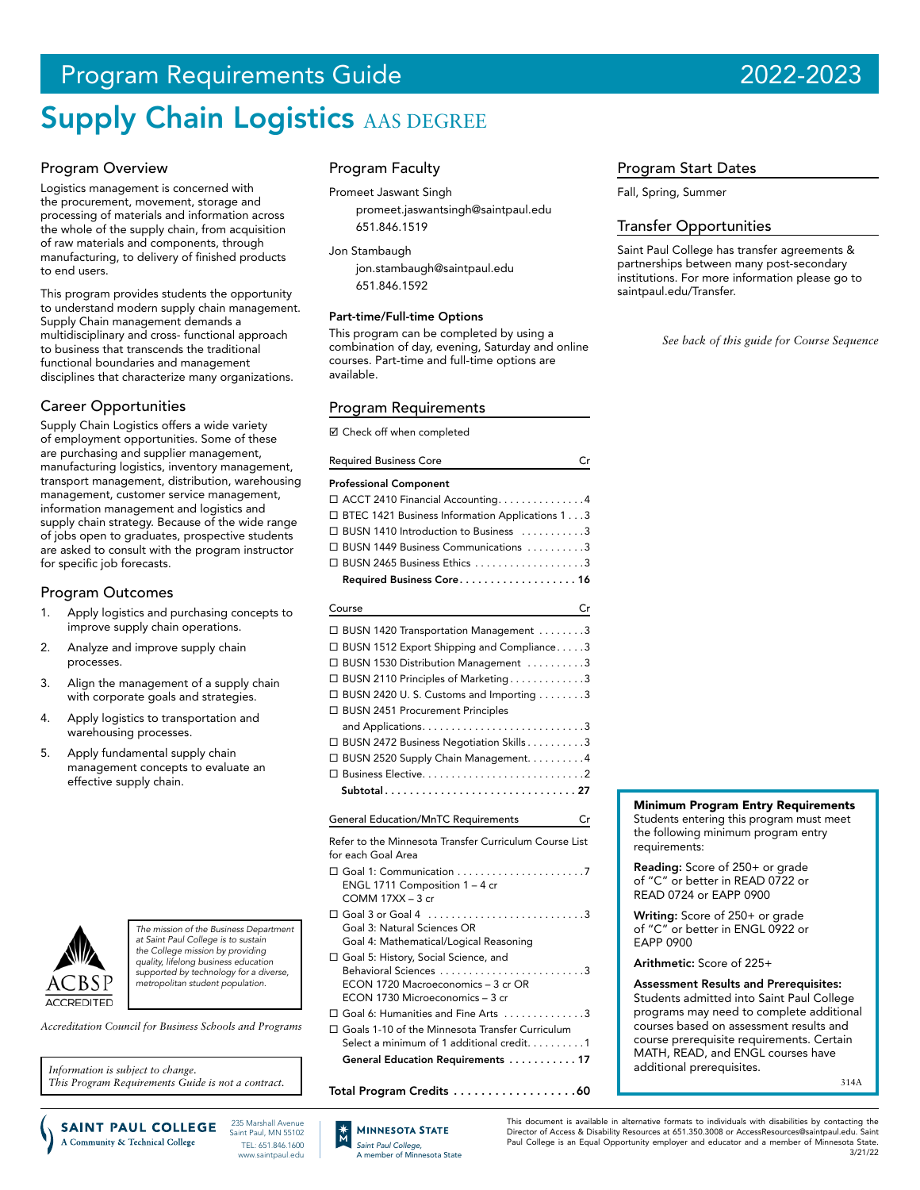# Program Requirements Guide 2022-2023

# **Supply Chain Logistics AAS DEGREE**

# Program Overview

Logistics management is concerned with the procurement, movement, storage and processing of materials and information across the whole of the supply chain, from acquisition of raw materials and components, through manufacturing, to delivery of finished products to end users.

This program provides students the opportunity to understand modern supply chain management. Supply Chain management demands a multidisciplinary and cross- functional approach to business that transcends the traditional functional boundaries and management disciplines that characterize many organizations.

# Career Opportunities

Supply Chain Logistics offers a wide variety of employment opportunities. Some of these are purchasing and supplier management, manufacturing logistics, inventory management, transport management, distribution, warehousing management, customer service management, information management and logistics and supply chain strategy. Because of the wide range of jobs open to graduates, prospective students are asked to consult with the program instructor for specific job forecasts.

## Program Outcomes

- 1. Apply logistics and purchasing concepts to improve supply chain operations.
- 2. Analyze and improve supply chain processes.
- 3. Align the management of a supply chain with corporate goals and strategies.
- 4. Apply logistics to transportation and warehousing processes.
- 5. Apply fundamental supply chain management concepts to evaluate an effective supply chain.



*The mission of the Business Department at Saint Paul College is to sustain the College mission by providing quality, lifelong business education supported by technology for a diverse, metropolitan student population.*

*Accreditation Council for Business Schools and Programs*

*Information is subject to change. This Program Requirements Guide is not a contract.* Program Faculty

Promeet Jaswant Singh promeet.jaswantsingh@saintpaul.edu 651.846.1519

Jon Stambaugh

jon.stambaugh@saintpaul.edu 651.846.1592

#### Part-time/Full-time Options

This program can be completed by using a combination of day, evening, Saturday and online courses. Part-time and full-time options are available.

## Program Requirements

■ Check off when completed

| <b>Required Business Core</b>                     | С |
|---------------------------------------------------|---|
| <b>Professional Component</b>                     |   |
| □ ACCT 2410 Financial Accounting. 4               |   |
| □ BTEC 1421 Business Information Applications 1 3 |   |
| □ BUSN 1410 Introduction to Business 3            |   |
| □ BUSN 1449 Business Communications 3             |   |
| $\Box$ BUSN 2465 Business Ethics 3                |   |
| Required Business Core 16                         |   |
|                                                   |   |

|    | Cr<br>Course                                                                                    |
|----|-------------------------------------------------------------------------------------------------|
|    | □ BUSN 1420 Transportation Management 3                                                         |
|    | BUSN 1512 Export Shipping and Compliance3                                                       |
|    | BUSN 1530 Distribution Management 3                                                             |
|    | BUSN 2110 Principles of Marketing3                                                              |
| П. | BUSN 2420 U.S. Customs and Importing 3                                                          |
|    | □ BUSN 2451 Procurement Principles                                                              |
|    |                                                                                                 |
|    | □ BUSN 2472 Business Negotiation Skills 3                                                       |
|    | □ BUSN 2520 Supply Chain Management. 4                                                          |
|    |                                                                                                 |
|    | Subtotal27                                                                                      |
|    |                                                                                                 |
|    |                                                                                                 |
|    | <b>General Education/MnTC Requirements</b><br>Cr                                                |
|    | Refer to the Minnesota Transfer Curriculum Course List                                          |
|    | for each Goal Area                                                                              |
|    |                                                                                                 |
|    | ENGL 1711 Composition 1 - 4 cr                                                                  |
|    | $COMM$ 17XX $-$ 3 cr                                                                            |
|    | $\Box$ Goal 3 or Goal 4 $\ldots \ldots \ldots \ldots \ldots \ldots \ldots \ldots \ldots \ldots$ |
|    | Goal 3: Natural Sciences OR                                                                     |
|    | Goal 4: Mathematical/Logical Reasoning                                                          |
|    | □ Goal 5: History, Social Science, and                                                          |
|    | Behavioral Sciences 3<br>ECON 1720 Macroeconomics - 3 cr OR                                     |
|    | ECON 1730 Microeconomics - 3 cr                                                                 |
|    | □ Goal 6: Humanities and Fine Arts 3                                                            |

 Goals 1-10 of the Minnesota Transfer Curriculum Select a minimum of 1 additional credit. . . . . . . . . 1 General Education Requirements . . . . . . . . . . . 17

Total Program Credits . . . . . . . . . . . . . . . . . 60

# Program Start Dates

Fall, Spring, Summer

## Transfer Opportunities

Saint Paul College has transfer agreements & partnerships between many post-secondary institutions. For more information please go to saintpaul.edu/Transfer.

*See back of this guide for Course Sequence*

# Minimum Program Entry Requirements

Students entering this program must meet the following minimum program entry requirements:

Reading: Score of 250+ or grade of "C" or better in READ 0722 or READ 0724 or EAPP 0900

Writing: Score of 250+ or grade of "C" or better in ENGL 0922 or EAPP 0900

Arithmetic: Score of 225+

Assessment Results and Prerequisites: Students admitted into Saint Paul College programs may need to complete additional courses based on assessment results and course prerequisite requirements. Certain MATH, READ, and ENGL courses have additional prerequisites.

314A

235 Marshall Avenue **SAINT PAUL COLLEGE** Saint Paul, MN 55102 A Community & Technical College TEL: 651.846.1600 www.saintpaul.edu



This document is available in alternative formats to individuals with disabilities by contacting the Director of Access & Disability Resources at 651.350.3008 or AccessResources@saintpaul.edu. Saint Paul College is an Equal Opportunity employer and educator and a member of Minnesota State. 3/21/22